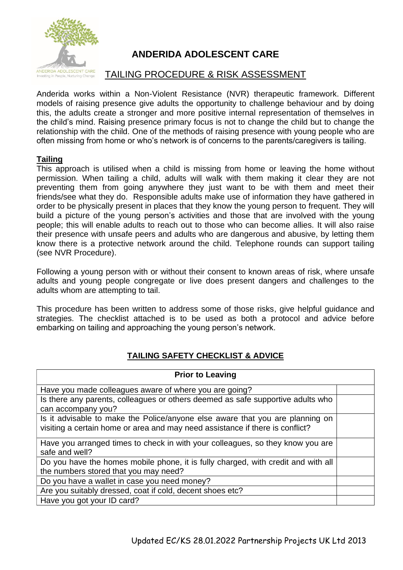

## **ANDERIDA ADOLESCENT CARE**

## TAILING PROCEDURE & RISK ASSESSMENT

Anderida works within a Non-Violent Resistance (NVR) therapeutic framework. Different models of raising presence give adults the opportunity to challenge behaviour and by doing this, the adults create a stronger and more positive internal representation of themselves in the child's mind. Raising presence primary focus is not to change the child but to change the relationship with the child. One of the methods of raising presence with young people who are often missing from home or who's network is of concerns to the parents/caregivers is tailing.

## **Tailing**

This approach is utilised when a child is missing from home or leaving the home without permission. When tailing a child, adults will walk with them making it clear they are not preventing them from going anywhere they just want to be with them and meet their friends/see what they do. Responsible adults make use of information they have gathered in order to be physically present in places that they know the young person to frequent. They will build a picture of the young person's activities and those that are involved with the young people; this will enable adults to reach out to those who can become allies. It will also raise their presence with unsafe peers and adults who are dangerous and abusive, by letting them know there is a protective network around the child. Telephone rounds can support tailing (see NVR Procedure).

Following a young person with or without their consent to known areas of risk, where unsafe adults and young people congregate or live does present dangers and challenges to the adults whom are attempting to tail.

This procedure has been written to address some of those risks, give helpful guidance and strategies. The checklist attached is to be used as both a protocol and advice before embarking on tailing and approaching the young person's network.

## **TAILING SAFETY CHECKLIST & ADVICE**

| <b>Prior to Leaving</b>                                                                                                                                        |  |
|----------------------------------------------------------------------------------------------------------------------------------------------------------------|--|
| Have you made colleagues aware of where you are going?                                                                                                         |  |
| Is there any parents, colleagues or others deemed as safe supportive adults who<br>can accompany you?                                                          |  |
| Is it advisable to make the Police/anyone else aware that you are planning on<br>visiting a certain home or area and may need assistance if there is conflict? |  |
| Have you arranged times to check in with your colleagues, so they know you are<br>safe and well?                                                               |  |
| Do you have the homes mobile phone, it is fully charged, with credit and with all                                                                              |  |
| the numbers stored that you may need?                                                                                                                          |  |
| Do you have a wallet in case you need money?                                                                                                                   |  |
| Are you suitably dressed, coat if cold, decent shoes etc?                                                                                                      |  |
| Have you got your ID card?                                                                                                                                     |  |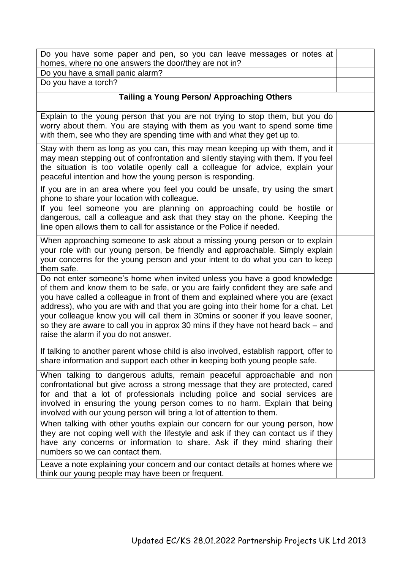| Do you have some paper and pen, so you can leave messages or notes at<br>homes, where no one answers the door/they are not in?                                                                                                                                                                                                                                                                                                                                                                                                                        |  |
|-------------------------------------------------------------------------------------------------------------------------------------------------------------------------------------------------------------------------------------------------------------------------------------------------------------------------------------------------------------------------------------------------------------------------------------------------------------------------------------------------------------------------------------------------------|--|
| Do you have a small panic alarm?                                                                                                                                                                                                                                                                                                                                                                                                                                                                                                                      |  |
| Do you have a torch?                                                                                                                                                                                                                                                                                                                                                                                                                                                                                                                                  |  |
| <b>Tailing a Young Person/ Approaching Others</b>                                                                                                                                                                                                                                                                                                                                                                                                                                                                                                     |  |
| Explain to the young person that you are not trying to stop them, but you do<br>worry about them. You are staying with them as you want to spend some time<br>with them, see who they are spending time with and what they get up to.                                                                                                                                                                                                                                                                                                                 |  |
| Stay with them as long as you can, this may mean keeping up with them, and it<br>may mean stepping out of confrontation and silently staying with them. If you feel<br>the situation is too volatile openly call a colleague for advice, explain your<br>peaceful intention and how the young person is responding.                                                                                                                                                                                                                                   |  |
| If you are in an area where you feel you could be unsafe, try using the smart<br>phone to share your location with colleague.                                                                                                                                                                                                                                                                                                                                                                                                                         |  |
| If you feel someone you are planning on approaching could be hostile or<br>dangerous, call a colleague and ask that they stay on the phone. Keeping the<br>line open allows them to call for assistance or the Police if needed.                                                                                                                                                                                                                                                                                                                      |  |
| When approaching someone to ask about a missing young person or to explain<br>your role with our young person, be friendly and approachable. Simply explain<br>your concerns for the young person and your intent to do what you can to keep<br>them safe.                                                                                                                                                                                                                                                                                            |  |
| Do not enter someone's home when invited unless you have a good knowledge<br>of them and know them to be safe, or you are fairly confident they are safe and<br>you have called a colleague in front of them and explained where you are (exact<br>address), who you are with and that you are going into their home for a chat. Let<br>your colleague know you will call them in 30mins or sooner if you leave sooner,<br>so they are aware to call you in approx 30 mins if they have not heard back – and<br>raise the alarm if you do not answer. |  |
| If talking to another parent whose child is also involved, establish rapport, offer to<br>share information and support each other in keeping both young people safe.                                                                                                                                                                                                                                                                                                                                                                                 |  |
| When talking to dangerous adults, remain peaceful approachable and non<br>confrontational but give across a strong message that they are protected, cared<br>for and that a lot of professionals including police and social services are<br>involved in ensuring the young person comes to no harm. Explain that being<br>involved with our young person will bring a lot of attention to them.                                                                                                                                                      |  |
| When talking with other youths explain our concern for our young person, how<br>they are not coping well with the lifestyle and ask if they can contact us if they<br>have any concerns or information to share. Ask if they mind sharing their<br>numbers so we can contact them.                                                                                                                                                                                                                                                                    |  |
| Leave a note explaining your concern and our contact details at homes where we<br>think our young people may have been or frequent.                                                                                                                                                                                                                                                                                                                                                                                                                   |  |